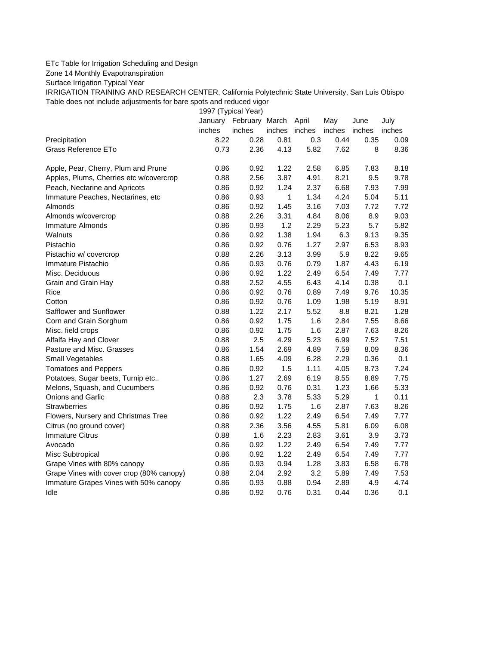## ETc Table for Irrigation Scheduling and Design

Zone 14 Monthly Evapotranspiration

Surface Irrigation Typical Year

IRRIGATION TRAINING AND RESEARCH CENTER, California Polytechnic State University, San Luis Obispo Table does not include adjustments for bare spots and reduced vigor

1997 (Typical Year)

|                                          |        | January February March |        | April  | May    | June   | July   |
|------------------------------------------|--------|------------------------|--------|--------|--------|--------|--------|
|                                          | inches | inches                 | inches | inches | inches | inches | inches |
| Precipitation                            | 8.22   | 0.28                   | 0.81   | 0.3    | 0.44   | 0.35   | 0.09   |
| Grass Reference ETo                      | 0.73   | 2.36                   | 4.13   | 5.82   | 7.62   | 8      | 8.36   |
| Apple, Pear, Cherry, Plum and Prune      | 0.86   | 0.92                   | 1.22   | 2.58   | 6.85   | 7.83   | 8.18   |
| Apples, Plums, Cherries etc w/covercrop  | 0.88   | 2.56                   | 3.87   | 4.91   | 8.21   | 9.5    | 9.78   |
| Peach, Nectarine and Apricots            | 0.86   | 0.92                   | 1.24   | 2.37   | 6.68   | 7.93   | 7.99   |
| Immature Peaches, Nectarines, etc        | 0.86   | 0.93                   | 1      | 1.34   | 4.24   | 5.04   | 5.11   |
| Almonds                                  | 0.86   | 0.92                   | 1.45   | 3.16   | 7.03   | 7.72   | 7.72   |
| Almonds w/covercrop                      | 0.88   | 2.26                   | 3.31   | 4.84   | 8.06   | 8.9    | 9.03   |
| Immature Almonds                         | 0.86   | 0.93                   | 1.2    | 2.29   | 5.23   | 5.7    | 5.82   |
| Walnuts                                  | 0.86   | 0.92                   | 1.38   | 1.94   | 6.3    | 9.13   | 9.35   |
| Pistachio                                | 0.86   | 0.92                   | 0.76   | 1.27   | 2.97   | 6.53   | 8.93   |
| Pistachio w/ covercrop                   | 0.88   | 2.26                   | 3.13   | 3.99   | 5.9    | 8.22   | 9.65   |
| Immature Pistachio                       | 0.86   | 0.93                   | 0.76   | 0.79   | 1.87   | 4.43   | 6.19   |
| Misc. Deciduous                          | 0.86   | 0.92                   | 1.22   | 2.49   | 6.54   | 7.49   | 7.77   |
| Grain and Grain Hay                      | 0.88   | 2.52                   | 4.55   | 6.43   | 4.14   | 0.38   | 0.1    |
| Rice                                     | 0.86   | 0.92                   | 0.76   | 0.89   | 7.49   | 9.76   | 10.35  |
| Cotton                                   | 0.86   | 0.92                   | 0.76   | 1.09   | 1.98   | 5.19   | 8.91   |
| Safflower and Sunflower                  | 0.88   | 1.22                   | 2.17   | 5.52   | 8.8    | 8.21   | 1.28   |
| Corn and Grain Sorghum                   | 0.86   | 0.92                   | 1.75   | 1.6    | 2.84   | 7.55   | 8.66   |
| Misc. field crops                        | 0.86   | 0.92                   | 1.75   | 1.6    | 2.87   | 7.63   | 8.26   |
| Alfalfa Hay and Clover                   | 0.88   | 2.5                    | 4.29   | 5.23   | 6.99   | 7.52   | 7.51   |
| Pasture and Misc. Grasses                | 0.86   | 1.54                   | 2.69   | 4.89   | 7.59   | 8.09   | 8.36   |
| Small Vegetables                         | 0.88   | 1.65                   | 4.09   | 6.28   | 2.29   | 0.36   | 0.1    |
| <b>Tomatoes and Peppers</b>              | 0.86   | 0.92                   | 1.5    | 1.11   | 4.05   | 8.73   | 7.24   |
| Potatoes, Sugar beets, Turnip etc        | 0.86   | 1.27                   | 2.69   | 6.19   | 8.55   | 8.89   | 7.75   |
| Melons, Squash, and Cucumbers            | 0.86   | 0.92                   | 0.76   | 0.31   | 1.23   | 1.66   | 5.33   |
| <b>Onions and Garlic</b>                 | 0.88   | 2.3                    | 3.78   | 5.33   | 5.29   | 1      | 0.11   |
| Strawberries                             | 0.86   | 0.92                   | 1.75   | 1.6    | 2.87   | 7.63   | 8.26   |
| Flowers, Nursery and Christmas Tree      | 0.86   | 0.92                   | 1.22   | 2.49   | 6.54   | 7.49   | 7.77   |
| Citrus (no ground cover)                 | 0.88   | 2.36                   | 3.56   | 4.55   | 5.81   | 6.09   | 6.08   |
| <b>Immature Citrus</b>                   | 0.88   | 1.6                    | 2.23   | 2.83   | 3.61   | 3.9    | 3.73   |
| Avocado                                  | 0.86   | 0.92                   | 1.22   | 2.49   | 6.54   | 7.49   | 7.77   |
| Misc Subtropical                         | 0.86   | 0.92                   | 1.22   | 2.49   | 6.54   | 7.49   | 7.77   |
| Grape Vines with 80% canopy              | 0.86   | 0.93                   | 0.94   | 1.28   | 3.83   | 6.58   | 6.78   |
| Grape Vines with cover crop (80% canopy) | 0.88   | 2.04                   | 2.92   | 3.2    | 5.89   | 7.49   | 7.53   |
| Immature Grapes Vines with 50% canopy    | 0.86   | 0.93                   | 0.88   | 0.94   | 2.89   | 4.9    | 4.74   |
| Idle                                     | 0.86   | 0.92                   | 0.76   | 0.31   | 0.44   | 0.36   | 0.1    |